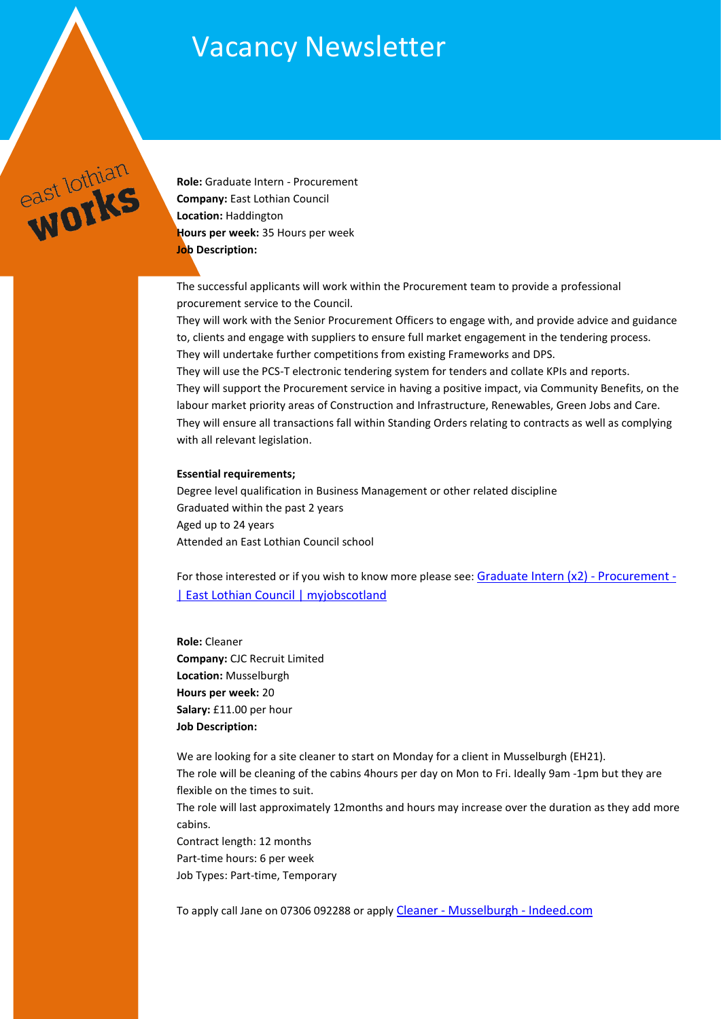## Vacancy Newsletter



**Role:** Graduate Intern - Procurement **Company:** East Lothian Council **Location:** Haddington **Hours per week:** 35 Hours per week **Job Description:** 

The successful applicants will work within the Procurement team to provide a professional procurement service to the Council.

They will work with the Senior Procurement Officers to engage with, and provide advice and guidance to, clients and engage with suppliers to ensure full market engagement in the tendering process. They will undertake further competitions from existing Frameworks and DPS.

They will use the PCS-T electronic tendering system for tenders and collate KPIs and reports. They will support the Procurement service in having a positive impact, via Community Benefits, on the labour market priority areas of Construction and Infrastructure, Renewables, Green Jobs and Care. They will ensure all transactions fall within Standing Orders relating to contracts as well as complying with all relevant legislation.

## **Essential requirements;**

Degree level qualification in Business Management or other related discipline Graduated within the past 2 years Aged up to 24 years Attended an East Lothian Council school

For those interested or if you wish to know more please see: [Graduate Intern \(x2\) -](https://www.myjobscotland.gov.uk/councils/east-lothian-council/jobs/graduate-intern-x2-procurement-252934) Procurement -[| East Lothian Council | myjobscotland](https://www.myjobscotland.gov.uk/councils/east-lothian-council/jobs/graduate-intern-x2-procurement-252934)

**Role:** Cleaner **Company:** CJC Recruit Limited **Location:** Musselburgh **Hours per week:** 20 **Salary:** £11.00 per hour **Job Description:**

We are looking for a site cleaner to start on Monday for a client in Musselburgh (EH21). The role will be cleaning of the cabins 4hours per day on Mon to Fri. Ideally 9am -1pm but they are flexible on the times to suit. The role will last approximately 12months and hours may increase over the duration as they add more cabins. Contract length: 12 months Part-time hours: 6 per week Job Types: Part-time, Temporary

To apply call Jane on 07306 092288 or apply Cleaner - [Musselburgh -](https://uk.indeed.com/viewjob?jk=3033d9f4b395d75b&l=Musselburgh&tk=1fp9r2nshr88h805&from=web&advn=1919146834831386&adid=382084111&ad=-6NYlbfkN0AQ9itSyJzSS4o7_MkwZgouFWCXdaDi0PjNw-97kY8Uu5N1Un2A8NZhaSXcucUvnphIKq8W6vm2nlq31x77E6YX2OLNdxTqmcG3-SGTXTY-MYJhEM5ITtSQzD9YyL4OxeM4Zug3Eb8YwwmBpcOiTf_gumGFd_qmAmrjfyvOoZW1186hTrrrHiJQ1cxixmTnLYJt9KPS-SrdxgHuu6A0JVqXCQS_4hRT7Ed4tX6d3ismC8xmboejTZ2G3y6mNDR4F1DIqAZscrG_D_PYICmLTCSOQf-MXHPZfnQYf-NG5v3RaKXIXqpuh2OfcPDXFf1UvXykRUgC2bEGRXuQgFE5jxUR9v3N5JQtxaxEgPz-y7nfDQ%3D%3D&pub=4a1b367933fd867b19b072952f68dceb&vjs=3) Indeed.com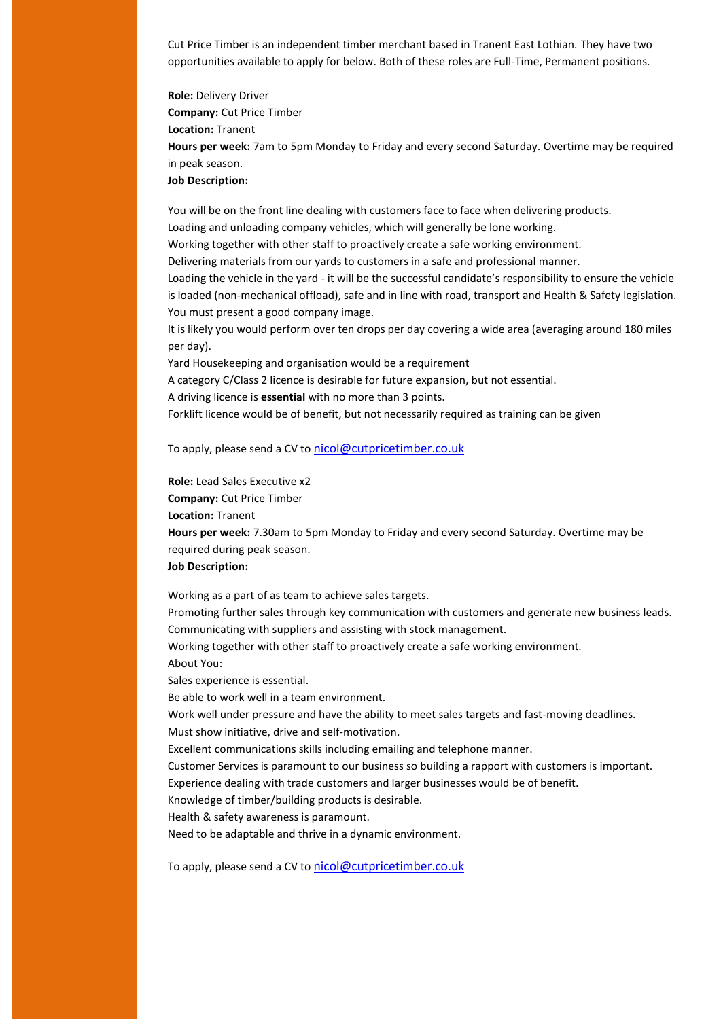Cut Price Timber is an independent timber merchant based in Tranent East Lothian. They have two opportunities available to apply for below. Both of these roles are Full-Time, Permanent positions.

**Role:** Delivery Driver **Company:** Cut Price Timber **Location:** Tranent **Hours per week:** 7am to 5pm Monday to Friday and every second Saturday. Overtime may be required in peak season. **Job Description:**

You will be on the front line dealing with customers face to face when delivering products. Loading and unloading company vehicles, which will generally be lone working.

Working together with other staff to proactively create a safe working environment.

Delivering materials from our yards to customers in a safe and professional manner.

Loading the vehicle in the yard - it will be the successful candidate's responsibility to ensure the vehicle is loaded (non-mechanical offload), safe and in line with road, transport and Health & Safety legislation. You must present a good company image.

It is likely you would perform over ten drops per day covering a wide area (averaging around 180 miles per day).

Yard Housekeeping and organisation would be a requirement

A category C/Class 2 licence is desirable for future expansion, but not essential.

A driving licence is **essential** with no more than 3 points.

Forklift licence would be of benefit, but not necessarily required as training can be given

To apply, please send a CV to [nicol@cutpricetimber.co.uk](mailto:nicol@cutpricetimber.co.uk)

**Role:** Lead Sales Executive x2 **Company:** Cut Price Timber **Location:** Tranent **Hours per week:** 7.30am to 5pm Monday to Friday and every second Saturday. Overtime may be required during peak season. **Job Description:**

Working as a part of as team to achieve sales targets.

Promoting further sales through key communication with customers and generate new business leads. Communicating with suppliers and assisting with stock management.

Working together with other staff to proactively create a safe working environment. About You:

Sales experience is essential.

Be able to work well in a team environment.

Work well under pressure and have the ability to meet sales targets and fast-moving deadlines.

Must show initiative, drive and self-motivation.

Excellent communications skills including emailing and telephone manner.

Customer Services is paramount to our business so building a rapport with customers is important.

Experience dealing with trade customers and larger businesses would be of benefit.

Knowledge of timber/building products is desirable.

Health & safety awareness is paramount.

Need to be adaptable and thrive in a dynamic environment.

To apply, please send a CV to [nicol@cutpricetimber.co.uk](mailto:nicol@cutpricetimber.co.uk)